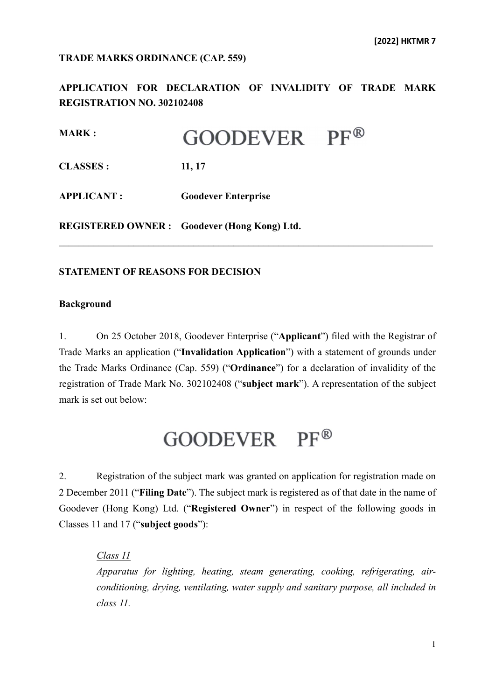#### **TRADE MARKS ORDINANCE (CAP. 559)**

**APPLICATION FOR DECLARATION OF INVALIDITY OF TRADE MARK REGISTRATION NO. 302102408**

| <b>MARK:</b>      | GOODEVER                                           | $PF^{\circledR}$ |
|-------------------|----------------------------------------------------|------------------|
| <b>CLASSES:</b>   | 11, 17                                             |                  |
| <b>APPLICANT:</b> | <b>Goodever Enterprise</b>                         |                  |
|                   | <b>REGISTERED OWNER:</b> Goodever (Hong Kong) Ltd. |                  |

### **STATEMENT OF REASONS FOR DECISION**

#### **Background**

1. On 25 October 2018, Goodever Enterprise ("**Applicant**") filed with the Registrar of Trade Marks an application ("**Invalidation Application**") with a statement of grounds under the Trade Marks Ordinance (Cap. 559) ("**Ordinance**") for a declaration of invalidity of the registration of Trade Mark No. 302102408 ("**subject mark**"). A representation of the subject mark is set out below:

\_\_\_\_\_\_\_\_\_\_\_\_\_\_\_\_\_\_\_\_\_\_\_\_\_\_\_\_\_\_\_\_\_\_\_\_\_\_\_\_\_\_\_\_\_\_\_\_\_\_\_\_\_\_\_\_\_\_\_\_\_\_\_\_\_\_\_\_\_\_\_\_\_\_\_

# GOODEVER PF®

2. Registration of the subject mark was granted on application for registration made on 2 December 2011 ("**Filing Date**"). The subject mark is registered as of that date in the name of Goodever (Hong Kong) Ltd. ("**Registered Owner**") in respect of the following goods in Classes 11 and 17 ("**subject goods**"):

*Class 11*

*Apparatus for lighting, heating, steam generating, cooking, refrigerating, airconditioning, drying, ventilating, water supply and sanitary purpose, all included in class 11.*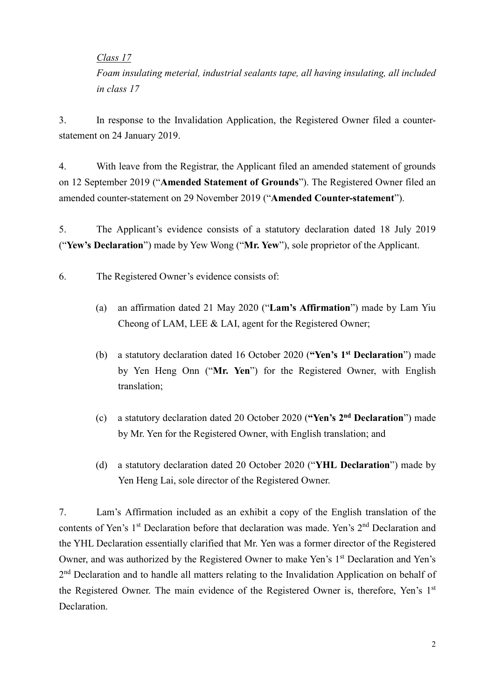*Class 17*

*Foam insulating meterial, industrial sealants tape, all having insulating, all included in class 17*

3. In response to the Invalidation Application, the Registered Owner filed a counterstatement on 24 January 2019.

4. With leave from the Registrar, the Applicant filed an amended statement of grounds on 12 September 2019 ("**Amended Statement of Grounds**"). The Registered Owner filed an amended counter-statement on 29 November 2019 ("**Amended Counter-statement**").

5. The Applicant's evidence consists of a statutory declaration dated 18 July 2019 ("**Yew's Declaration**") made by Yew Wong ("**Mr. Yew**"), sole proprietor of the Applicant.

6. The Registered Owner's evidence consists of:

- (a) an affirmation dated 21 May 2020 ("**Lam's Affirmation**") made by Lam Yiu Cheong of LAM, LEE & LAI, agent for the Registered Owner;
- (b) a statutory declaration dated 16 October 2020 (**"Yen's 1st Declaration**") made by Yen Heng Onn ("**Mr. Yen**") for the Registered Owner, with English translation;
- (c) a statutory declaration dated 20 October 2020 (**"Yen's 2nd Declaration**") made by Mr. Yen for the Registered Owner, with English translation; and
- (d) a statutory declaration dated 20 October 2020 ("**YHL Declaration**") made by Yen Heng Lai, sole director of the Registered Owner.

7. Lam's Affirmation included as an exhibit a copy of the English translation of the contents of Yen's 1<sup>st</sup> Declaration before that declaration was made. Yen's 2<sup>nd</sup> Declaration and the YHL Declaration essentially clarified that Mr. Yen was a former director of the Registered Owner, and was authorized by the Registered Owner to make Yen's 1<sup>st</sup> Declaration and Yen's 2<sup>nd</sup> Declaration and to handle all matters relating to the Invalidation Application on behalf of the Registered Owner. The main evidence of the Registered Owner is, therefore, Yen's 1<sup>st</sup> Declaration.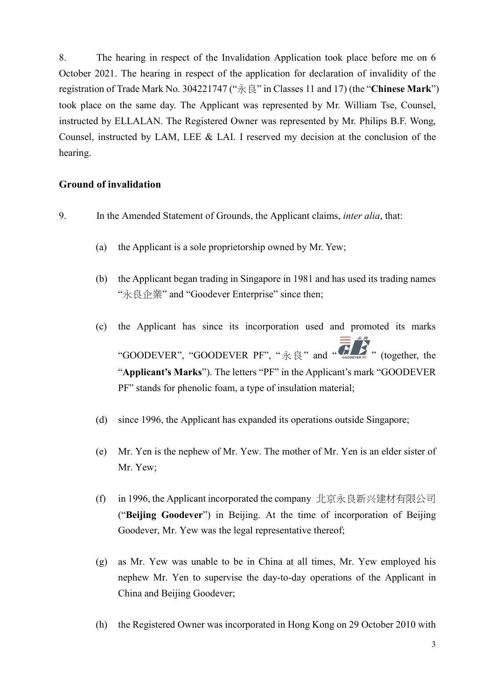8. The hearing in respect of the Invalidation Application took place before me on 6 October 2021. The hearing in respect of the application for declaration of invalidity of the registration of Trade Mark No. 304221747 ("永良" in Classes 11 and 17) (the "**Chinese Mark**") took place on the same day. The Applicant was represented by Mr. William Tse, Counsel, instructed by ELLALAN. The Registered Owner was represented by Mr. Philips B.F. Wong, Counsel, instructed by LAM, LEE & LAI. I reserved my decision at the conclusion of the hearing.

## **Ground of invalidation**

- 9. In the Amended Statement of Grounds, the Applicant claims, *inter alia*, that:
	- (a) the Applicant is a sole proprietorship owned by Mr. Yew;
	- (b) the Applicant began trading in Singapore in 1981 and has used its trading names "永良企業" and "Goodever Enterprise" since then;
	- (c) the Applicant has since its incorporation used and promoted its marks "GOODEVER", "GOODEVER PF", " $\mathcal{R} \not\stackrel{\mathcal{R}}{\otimes} \mathcal{R}$ " and "  $\mathcal{R} \not\stackrel{\mathcal{R}}{\otimes} \mathcal{R}$ " (together, the "**Applicant's Marks**"). The letters "PF" in the Applicant's mark "GOODEVER PF" stands for phenolic foam, a type of insulation material;
	- (d) since 1996, the Applicant has expanded its operations outside Singapore;
	- (e) Mr. Yen is the nephew of Mr. Yew. The mother of Mr. Yen is an elder sister of Mr. Yew;
	- (f) in 1996, the Applicant incorporated the company 北京永良新兴建材有限公司 ("**Beijing Goodever**") in Beijing. At the time of incorporation of Beijing Goodever, Mr. Yew was the legal representative thereof;
	- (g) as Mr. Yew was unable to be in China at all times, Mr. Yew employed his nephew Mr. Yen to supervise the day-to-day operations of the Applicant in China and Beijing Goodever;
	- (h) the Registered Owner was incorporated in Hong Kong on 29 October 2010 with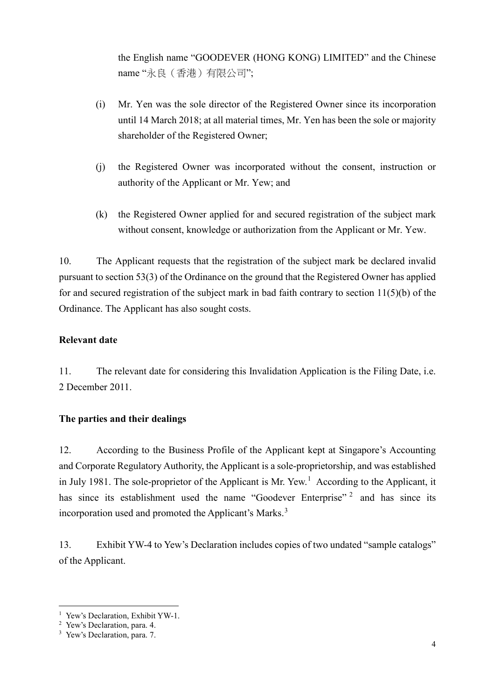the English name "GOODEVER (HONG KONG) LIMITED" and the Chinese name "永良(香港)有限公司";

- (i) Mr. Yen was the sole director of the Registered Owner since its incorporation until 14 March 2018; at all material times, Mr. Yen has been the sole or majority shareholder of the Registered Owner;
- (j) the Registered Owner was incorporated without the consent, instruction or authority of the Applicant or Mr. Yew; and
- (k) the Registered Owner applied for and secured registration of the subject mark without consent, knowledge or authorization from the Applicant or Mr. Yew.

10. The Applicant requests that the registration of the subject mark be declared invalid pursuant to section 53(3) of the Ordinance on the ground that the Registered Owner has applied for and secured registration of the subject mark in bad faith contrary to section  $11(5)(b)$  of the Ordinance. The Applicant has also sought costs.

## **Relevant date**

11. The relevant date for considering this Invalidation Application is the Filing Date, i.e. 2 December 2011.

## **The parties and their dealings**

12. According to the Business Profile of the Applicant kept at Singapore's Accounting and Corporate Regulatory Authority, the Applicant is a sole-proprietorship, and was established in July [1](#page-3-0)981. The sole-proprietor of the Applicant is Mr. Yew.<sup>1</sup> According to the Applicant, it has since its establishment used the name "Goodever Enterprise"<sup>[2](#page-3-1)</sup> and has since its incorporation used and promoted the Applicant's Marks.<sup>[3](#page-3-2)</sup>

13. Exhibit YW-4 to Yew's Declaration includes copies of two undated "sample catalogs" of the Applicant.

<sup>&</sup>lt;sup>1</sup> Yew's Declaration, Exhibit YW-1.

<span id="page-3-1"></span><span id="page-3-0"></span><sup>2</sup> Yew's Declaration, para. 4.

<span id="page-3-2"></span><sup>3</sup> Yew's Declaration, para. 7.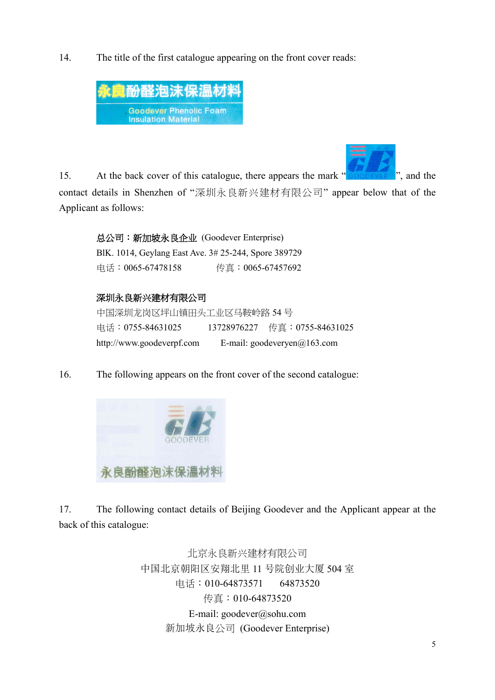14. The title of the first catalogue appearing on the front cover reads:





15. At the back cover of this catalogue, there appears the mark " ", and the contact details in Shenzhen of "深圳永良新兴建材有限公司" appear below that of the Applicant as follows:

# 总公司:新加坡永良企业 (Goodever Enterprise)

BlK. 1014, Geylang East Ave. 3# 25-244, Spore 389729 电话:0065-67478158 传真:0065-67457692

# 深圳永良新兴建材有限公司

中国深圳龙岗区坪山镇田头工业区马鞍岭路 54 号 电话:0755-84631025 13728976227 传真:0755-84631025 [http://www.goodeverpf.com](http://www.goodeverpf.com/) E-mail: [goodeveryen@163.com](mailto:goodeveryen@163.com)

16. The following appears on the front cover of the second catalogue:



17. The following contact details of Beijing Goodever and the Applicant appear at the back of this catalogue:

> 北京永良新兴建材有限公司 中国北京朝阳区安翔北里 11 号院创业大厦 504 室 电话:010-64873571 64873520 传真:010-64873520 E-mail: [goodever@sohu.com](mailto:goodever@sohu.com) 新加坡永良公司 (Goodever Enterprise)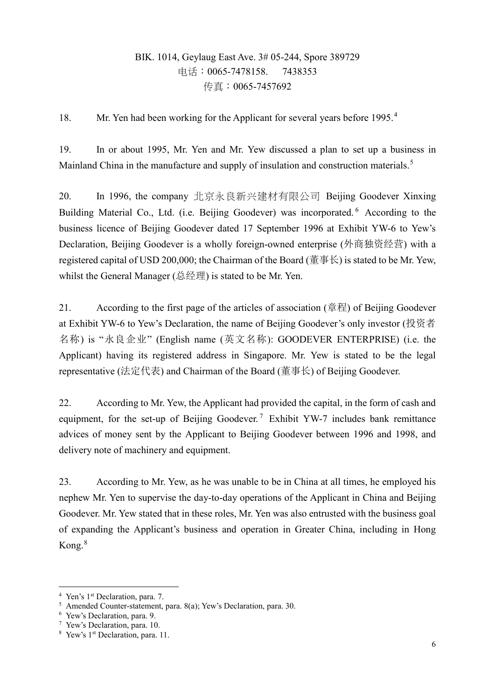# BIK. 1014, Geylaug East Ave. 3# 05-244, Spore 389729 电话:0065-7478158. 7438353 传真:0065-7457692

18. Mr. Yen had been working for the Applicant for several years before 1995.<sup>[4](#page-5-0)</sup>

19. In or about 1995, Mr. Yen and Mr. Yew discussed a plan to set up a business in Mainland China in the manufacture and supply of insulation and construction materials.<sup>[5](#page-5-1)</sup>

20. In 1996, the company 北京永良新兴建材有限公司 Beijing Goodever Xinxing Building Material Co., Ltd. (i.e. Beijing Goodever) was incorporated. <sup>[6](#page-5-2)</sup> According to the business licence of Beijing Goodever dated 17 September 1996 at Exhibit YW-6 to Yew's Declaration, Beijing Goodever is a wholly foreign-owned enterprise (外商独资经营) with a registered capital of USD 200,000; the Chairman of the Board ( $\ddot{\equiv} \pm \hat{\pm}$ ) is stated to be Mr. Yew, whilst the General Manager (总经理) is stated to be Mr. Yen.

21. According to the first page of the articles of association (章程) of Beijing Goodever at Exhibit YW-6 to Yew's Declaration, the name of Beijing Goodever's only investor (投资者 名称) is "永良企业" (English name (英文名称): GOODEVER ENTERPRISE) (i.e. the Applicant) having its registered address in Singapore. Mr. Yew is stated to be the legal representative (法定代表) and Chairman of the Board (董事长) of Beijing Goodever.

22. According to Mr. Yew, the Applicant had provided the capital, in the form of cash and equipment, for the set-up of Beijing Goodever.<sup>[7](#page-5-3)</sup> Exhibit YW-7 includes bank remittance advices of money sent by the Applicant to Beijing Goodever between 1996 and 1998, and delivery note of machinery and equipment.

23. According to Mr. Yew, as he was unable to be in China at all times, he employed his nephew Mr. Yen to supervise the day-to-day operations of the Applicant in China and Beijing Goodever. Mr. Yew stated that in these roles, Mr. Yen was also entrusted with the business goal of expanding the Applicant's business and operation in Greater China, including in Hong Kong.[8](#page-5-4)

<span id="page-5-0"></span> <sup>4</sup> Yen's 1st Declaration, para. 7.

<span id="page-5-1"></span><sup>5</sup> Amended Counter-statement, para. 8(a); Yew's Declaration, para. 30.

<span id="page-5-2"></span><sup>6</sup> Yew's Declaration, para. 9.

<span id="page-5-3"></span><sup>7</sup> Yew's Declaration, para. 10.

<span id="page-5-4"></span><sup>&</sup>lt;sup>8</sup> Yew's 1<sup>st</sup> Declaration, para. 11.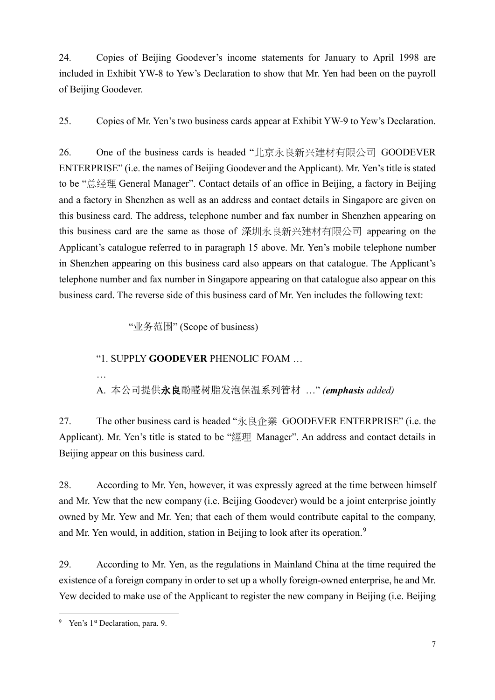24. Copies of Beijing Goodever's income statements for January to April 1998 are included in Exhibit YW-8 to Yew's Declaration to show that Mr. Yen had been on the payroll of Beijing Goodever.

25. Copies of Mr. Yen's two business cards appear at Exhibit YW-9 to Yew's Declaration.

26. One of the business cards is headed "北京永良新兴建材有限公司 GOODEVER ENTERPRISE" (i.e. the names of Beijing Goodever and the Applicant). Mr. Yen's title is stated to be "总经理 General Manager". Contact details of an office in Beijing, a factory in Beijing and a factory in Shenzhen as well as an address and contact details in Singapore are given on this business card. The address, telephone number and fax number in Shenzhen appearing on this business card are the same as those of 深圳永良新兴建材有限公司 appearing on the Applicant's catalogue referred to in paragraph 15 above. Mr. Yen's mobile telephone number in Shenzhen appearing on this business card also appears on that catalogue. The Applicant's telephone number and fax number in Singapore appearing on that catalogue also appear on this business card. The reverse side of this business card of Mr. Yen includes the following text:

"业务范围" (Scope of business)

### "1. SUPPLY **GOODEVER** PHENOLIC FOAM …

A. 本公司提供永良酚醛树脂发泡保温系列管材 …" *(emphasis added)*

27. The other business card is headed "永良企業 GOODEVER ENTERPRISE" (i.e. the Applicant). Mr. Yen's title is stated to be "經理 Manager". An address and contact details in Beijing appear on this business card.

28. According to Mr. Yen, however, it was expressly agreed at the time between himself and Mr. Yew that the new company (i.e. Beijing Goodever) would be a joint enterprise jointly owned by Mr. Yew and Mr. Yen; that each of them would contribute capital to the company, and Mr. Yen would, in addition, station in Beijing to look after its operation.<sup>[9](#page-6-0)</sup>

29. According to Mr. Yen, as the regulations in Mainland China at the time required the existence of a foreign company in order to set up a wholly foreign-owned enterprise, he and Mr. Yew decided to make use of the Applicant to register the new company in Beijing (i.e. Beijing

…

<span id="page-6-0"></span> <sup>9</sup> Yen's 1st Declaration, para. 9.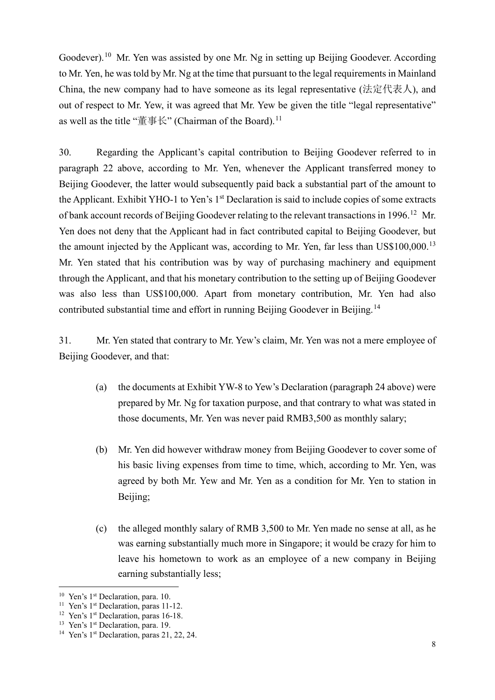Goodever).<sup>[10](#page-7-0)</sup> Mr. Yen was assisted by one Mr. Ng in setting up Beijing Goodever. According to Mr. Yen, he was told by Mr. Ng at the time that pursuant to the legal requirements in Mainland China, the new company had to have someone as its legal representative (法定代表人), and out of respect to Mr. Yew, it was agreed that Mr. Yew be given the title "legal representative" as well as the title "董事长" (Chairman of the Board).<sup>[11](#page-7-1)</sup>

30. Regarding the Applicant's capital contribution to Beijing Goodever referred to in paragraph 22 above, according to Mr. Yen, whenever the Applicant transferred money to Beijing Goodever, the latter would subsequently paid back a substantial part of the amount to the Applicant. Exhibit YHO-1 to Yen's 1<sup>st</sup> Declaration is said to include copies of some extracts of bank account records of Beijing Goodever relating to the relevant transactions in 1996.<sup>[12](#page-7-2)</sup> Mr. Yen does not deny that the Applicant had in fact contributed capital to Beijing Goodever, but the amount injected by the Applicant was, according to Mr. Yen, far less than  $US$100,000$ .<sup>[13](#page-7-3)</sup> Mr. Yen stated that his contribution was by way of purchasing machinery and equipment through the Applicant, and that his monetary contribution to the setting up of Beijing Goodever was also less than US\$100,000. Apart from monetary contribution, Mr. Yen had also contributed substantial time and effort in running Beijing Goodever in Beijing.<sup>[14](#page-7-4)</sup>

31. Mr. Yen stated that contrary to Mr. Yew's claim, Mr. Yen was not a mere employee of Beijing Goodever, and that:

- (a) the documents at Exhibit YW-8 to Yew's Declaration (paragraph 24 above) were prepared by Mr. Ng for taxation purpose, and that contrary to what was stated in those documents, Mr. Yen was never paid RMB3,500 as monthly salary;
- (b) Mr. Yen did however withdraw money from Beijing Goodever to cover some of his basic living expenses from time to time, which, according to Mr. Yen, was agreed by both Mr. Yew and Mr. Yen as a condition for Mr. Yen to station in Beijing;
- (c) the alleged monthly salary of RMB 3,500 to Mr. Yen made no sense at all, as he was earning substantially much more in Singapore; it would be crazy for him to leave his hometown to work as an employee of a new company in Beijing earning substantially less;

<span id="page-7-0"></span><sup>&</sup>lt;sup>10</sup> Yen's 1<sup>st</sup> Declaration, para. 10.

<span id="page-7-1"></span><sup>&</sup>lt;sup>11</sup> Yen's 1<sup>st</sup> Declaration, paras 11-12.

<span id="page-7-2"></span><sup>&</sup>lt;sup>12</sup> Yen's 1<sup>st</sup> Declaration, paras 16-18.

<span id="page-7-3"></span><sup>&</sup>lt;sup>13</sup> Yen's 1<sup>st</sup> Declaration, para. 19.

<span id="page-7-4"></span><sup>&</sup>lt;sup>14</sup> Yen's  $1<sup>st</sup>$  Declaration, paras 21, 22, 24.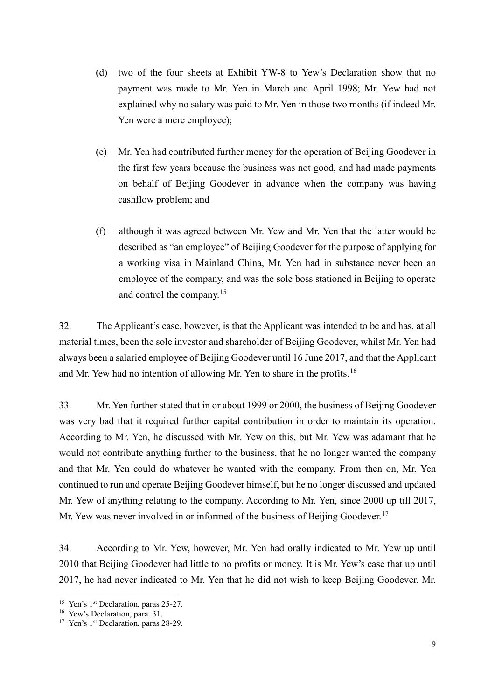- (d) two of the four sheets at Exhibit YW-8 to Yew's Declaration show that no payment was made to Mr. Yen in March and April 1998; Mr. Yew had not explained why no salary was paid to Mr. Yen in those two months (if indeed Mr. Yen were a mere employee);
- (e) Mr. Yen had contributed further money for the operation of Beijing Goodever in the first few years because the business was not good, and had made payments on behalf of Beijing Goodever in advance when the company was having cashflow problem; and
- (f) although it was agreed between Mr. Yew and Mr. Yen that the latter would be described as "an employee" of Beijing Goodever for the purpose of applying for a working visa in Mainland China, Mr. Yen had in substance never been an employee of the company, and was the sole boss stationed in Beijing to operate and control the company. $15$

32. The Applicant's case, however, is that the Applicant was intended to be and has, at all material times, been the sole investor and shareholder of Beijing Goodever, whilst Mr. Yen had always been a salaried employee of Beijing Goodever until 16 June 2017, and that the Applicant and Mr. Yew had no intention of allowing Mr. Yen to share in the profits.<sup>[16](#page-8-1)</sup>

33. Mr. Yen further stated that in or about 1999 or 2000, the business of Beijing Goodever was very bad that it required further capital contribution in order to maintain its operation. According to Mr. Yen, he discussed with Mr. Yew on this, but Mr. Yew was adamant that he would not contribute anything further to the business, that he no longer wanted the company and that Mr. Yen could do whatever he wanted with the company. From then on, Mr. Yen continued to run and operate Beijing Goodever himself, but he no longer discussed and updated Mr. Yew of anything relating to the company. According to Mr. Yen, since 2000 up till 2017, Mr. Yew was never involved in or informed of the business of Beijing Goodever.<sup>[17](#page-8-2)</sup>

34. According to Mr. Yew, however, Mr. Yen had orally indicated to Mr. Yew up until 2010 that Beijing Goodever had little to no profits or money. It is Mr. Yew's case that up until 2017, he had never indicated to Mr. Yen that he did not wish to keep Beijing Goodever. Mr.

<span id="page-8-0"></span><sup>&</sup>lt;sup>15</sup> Yen's 1<sup>st</sup> Declaration, paras 25-27.<br><sup>16</sup> Yew's Declaration, para. 31.

<span id="page-8-1"></span>

<span id="page-8-2"></span><sup>&</sup>lt;sup>17</sup> Yen's 1<sup>st</sup> Declaration, paras 28-29.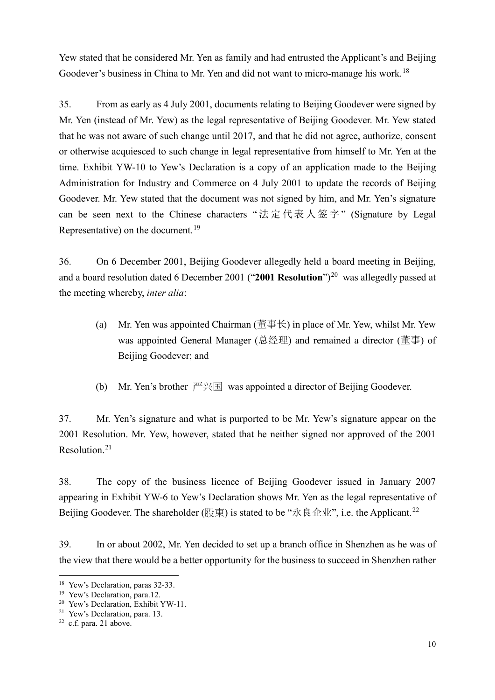Yew stated that he considered Mr. Yen as family and had entrusted the Applicant's and Beijing Goodever's business in China to Mr. Yen and did not want to micro-manage his work.<sup>[18](#page-9-0)</sup>

35. From as early as 4 July 2001, documents relating to Beijing Goodever were signed by Mr. Yen (instead of Mr. Yew) as the legal representative of Beijing Goodever. Mr. Yew stated that he was not aware of such change until 2017, and that he did not agree, authorize, consent or otherwise acquiesced to such change in legal representative from himself to Mr. Yen at the time. Exhibit YW-10 to Yew's Declaration is a copy of an application made to the Beijing Administration for Industry and Commerce on 4 July 2001 to update the records of Beijing Goodever. Mr. Yew stated that the document was not signed by him, and Mr. Yen's signature can be seen next to the Chinese characters "法定代表人签字" (Signature by Legal Representative) on the document.<sup>[19](#page-9-1)</sup>

36. On 6 December 2001, Beijing Goodever allegedly held a board meeting in Beijing, and a board resolution dated 6 December [20](#page-9-2)01 ("2001 Resolution")<sup>20</sup> was allegedly passed at the meeting whereby, *inter alia*:

- (a) Mr. Yen was appointed Chairman (董事长) in place of Mr. Yew, whilst Mr. Yew was appointed General Manager (总经理) and remained a director (董事) of Beijing Goodever; and
- (b) Mr. Yen's brother  $\mathbb{R}^m \times \mathbb{R}$  was appointed a director of Beijing Goodever.

37. Mr. Yen's signature and what is purported to be Mr. Yew's signature appear on the 2001 Resolution. Mr. Yew, however, stated that he neither signed nor approved of the 2001 Resolution.[21](#page-9-3)

38. The copy of the business licence of Beijing Goodever issued in January 2007 appearing in Exhibit YW-6 to Yew's Declaration shows Mr. Yen as the legal representative of Beijing Goodever. The shareholder (股東) is stated to be "永良企业", i.e. the Applicant.<sup>[22](#page-9-4)</sup>

39. In or about 2002, Mr. Yen decided to set up a branch office in Shenzhen as he was of the view that there would be a better opportunity for the business to succeed in Shenzhen rather

<span id="page-9-0"></span><sup>&</sup>lt;sup>18</sup> Yew's Declaration, paras 32-33.

<span id="page-9-1"></span><sup>&</sup>lt;sup>19</sup> Yew's Declaration, para.12.

<span id="page-9-2"></span><sup>&</sup>lt;sup>20</sup> Yew's Declaration, Exhibit YW-11.

<span id="page-9-3"></span><sup>21</sup> Yew's Declaration, para. 13.

<span id="page-9-4"></span><sup>22</sup> c.f. para. 21 above.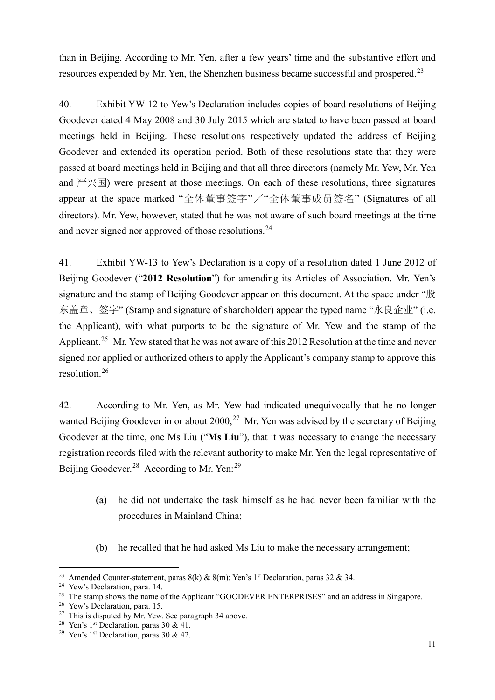than in Beijing. According to Mr. Yen, after a few years' time and the substantive effort and resources expended by Mr. Yen, the Shenzhen business became successful and prospered.<sup>[23](#page-10-0)</sup>

40. Exhibit YW-12 to Yew's Declaration includes copies of board resolutions of Beijing Goodever dated 4 May 2008 and 30 July 2015 which are stated to have been passed at board meetings held in Beijing. These resolutions respectively updated the address of Beijing Goodever and extended its operation period. Both of these resolutions state that they were passed at board meetings held in Beijing and that all three directors (namely Mr. Yew, Mr. Yen and  $\mathbb{P}(\mathbb{H})$  were present at those meetings. On each of these resolutions, three signatures appear at the space marked "全体董事签字"/"全体董事成员签名" (Signatures of all directors). Mr. Yew, however, stated that he was not aware of such board meetings at the time and never signed nor approved of those resolutions.<sup>[24](#page-10-1)</sup>

41. Exhibit YW-13 to Yew's Declaration is a copy of a resolution dated 1 June 2012 of Beijing Goodever ("**2012 Resolution**") for amending its Articles of Association. Mr. Yen's signature and the stamp of Beijing Goodever appear on this document. At the space under "股 东盖章、签字" (Stamp and signature of shareholder) appear the typed name "永良企业" (i.e. the Applicant), with what purports to be the signature of Mr. Yew and the stamp of the Applicant.<sup>[25](#page-10-2)</sup> Mr. Yew stated that he was not aware of this 2012 Resolution at the time and never signed nor applied or authorized others to apply the Applicant's company stamp to approve this resolution.[26](#page-10-3)

42. According to Mr. Yen, as Mr. Yew had indicated unequivocally that he no longer wanted Beijing Goodever in or about  $2000$ ,  $27$  Mr. Yen was advised by the secretary of Beijing Goodever at the time, one Ms Liu ("**Ms Liu**"), that it was necessary to change the necessary registration records filed with the relevant authority to make Mr. Yen the legal representative of Beijing Goodever.<sup>[28](#page-10-5)</sup> According to Mr. Yen:<sup>[29](#page-10-6)</sup>

- (a) he did not undertake the task himself as he had never been familiar with the procedures in Mainland China;
- (b) he recalled that he had asked Ms Liu to make the necessary arrangement;

<span id="page-10-0"></span><sup>&</sup>lt;sup>23</sup> Amended Counter-statement, paras 8(k) & 8(m); Yen's 1<sup>st</sup> Declaration, paras 32 & 34.

<span id="page-10-1"></span><sup>24</sup> Yew's Declaration, para. 14.

<span id="page-10-2"></span><sup>&</sup>lt;sup>25</sup> The stamp shows the name of the Applicant "GOODEVER ENTERPRISES" and an address in Singapore.

<span id="page-10-3"></span><sup>&</sup>lt;sup>26</sup> Yew's Declaration, para. 15.

<sup>&</sup>lt;sup>27</sup> This is disputed by Mr. Yew. See paragraph 34 above.

<span id="page-10-5"></span><span id="page-10-4"></span><sup>&</sup>lt;sup>28</sup> Yen's 1<sup>st</sup> Declaration, paras 30 & 41.

<span id="page-10-6"></span><sup>&</sup>lt;sup>29</sup> Yen's 1<sup>st</sup> Declaration, paras 30 & 42.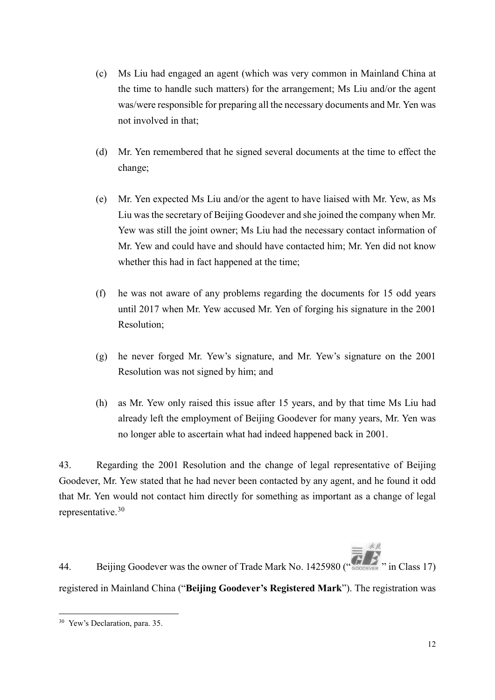- (c) Ms Liu had engaged an agent (which was very common in Mainland China at the time to handle such matters) for the arrangement; Ms Liu and/or the agent was/were responsible for preparing all the necessary documents and Mr. Yen was not involved in that;
- (d) Mr. Yen remembered that he signed several documents at the time to effect the change;
- (e) Mr. Yen expected Ms Liu and/or the agent to have liaised with Mr. Yew, as Ms Liu was the secretary of Beijing Goodever and she joined the company when Mr. Yew was still the joint owner; Ms Liu had the necessary contact information of Mr. Yew and could have and should have contacted him; Mr. Yen did not know whether this had in fact happened at the time;
- (f) he was not aware of any problems regarding the documents for 15 odd years until 2017 when Mr. Yew accused Mr. Yen of forging his signature in the 2001 Resolution;
- (g) he never forged Mr. Yew's signature, and Mr. Yew's signature on the 2001 Resolution was not signed by him; and
- (h) as Mr. Yew only raised this issue after 15 years, and by that time Ms Liu had already left the employment of Beijing Goodever for many years, Mr. Yen was no longer able to ascertain what had indeed happened back in 2001.

43. Regarding the 2001 Resolution and the change of legal representative of Beijing Goodever, Mr. Yew stated that he had never been contacted by any agent, and he found it odd that Mr. Yen would not contact him directly for something as important as a change of legal representative. [30](#page-11-0)

 $\equiv \frac{\dot{\mathbf{x}}\dot{\mathbf{x}}}{}$ 44. Beijing Goodever was the owner of Trade Mark No. 1425980 (" COODEVER " in Class 17) registered in Mainland China ("**Beijing Goodever's Registered Mark**"). The registration was

<span id="page-11-0"></span> <sup>30</sup> Yew's Declaration, para. 35.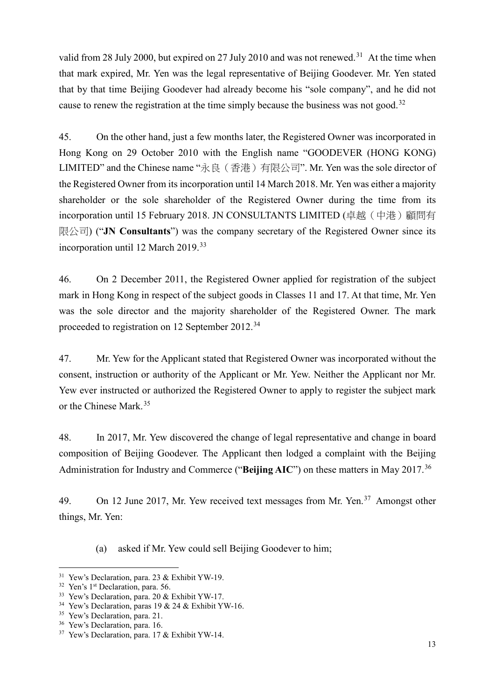valid from 28 July 2000, but expired on 27 July 2010 and was not renewed.<sup>[31](#page-12-0)</sup> At the time when that mark expired, Mr. Yen was the legal representative of Beijing Goodever. Mr. Yen stated that by that time Beijing Goodever had already become his "sole company", and he did not cause to renew the registration at the time simply because the business was not good.<sup>[32](#page-12-1)</sup>

45. On the other hand, just a few months later, the Registered Owner was incorporated in Hong Kong on 29 October 2010 with the English name "GOODEVER (HONG KONG) LIMITED" and the Chinese name "永良(香港)有限公司". Mr. Yen was the sole director of the Registered Owner from its incorporation until 14 March 2018. Mr. Yen was either a majority shareholder or the sole shareholder of the Registered Owner during the time from its incorporation until 15 February 2018. JN CONSULTANTS LIMITED (卓越(中港)顧問有 限公司) ("**JN Consultants**") was the company secretary of the Registered Owner since its incorporation until 12 March 2019.[33](#page-12-2)

46. On 2 December 2011, the Registered Owner applied for registration of the subject mark in Hong Kong in respect of the subject goods in Classes 11 and 17. At that time, Mr. Yen was the sole director and the majority shareholder of the Registered Owner. The mark proceeded to registration on 12 September 2012.[34](#page-12-3)

47. Mr. Yew for the Applicant stated that Registered Owner was incorporated without the consent, instruction or authority of the Applicant or Mr. Yew. Neither the Applicant nor Mr. Yew ever instructed or authorized the Registered Owner to apply to register the subject mark or the Chinese Mark.[35](#page-12-4)

48. In 2017, Mr. Yew discovered the change of legal representative and change in board composition of Beijing Goodever. The Applicant then lodged a complaint with the Beijing Administration for Industry and Commerce ("**Beijing AIC**") on these matters in May 2017.[36](#page-12-5)

49. On 12 June 2017, Mr. Yew received text messages from Mr. Yen.<sup>[37](#page-12-6)</sup> Amongst other things, Mr. Yen:

(a) asked if Mr. Yew could sell Beijing Goodever to him;

<span id="page-12-3"></span><span id="page-12-2"></span>

<span id="page-12-1"></span><span id="page-12-0"></span><sup>&</sup>lt;sup>31</sup> Yew's Declaration, para. 23 & Exhibit YW-19.<br><sup>32</sup> Yen's 1<sup>st</sup> Declaration, para. 56.<br><sup>33</sup> Yew's Declaration, para. 20 & Exhibit YW-17.<br><sup>34</sup> Yew's Declaration, paras 19 & 24 & Exhibit YW-16.<br><sup>35</sup> Yew's Declaration, pa

<span id="page-12-4"></span>

<span id="page-12-5"></span>

<span id="page-12-6"></span>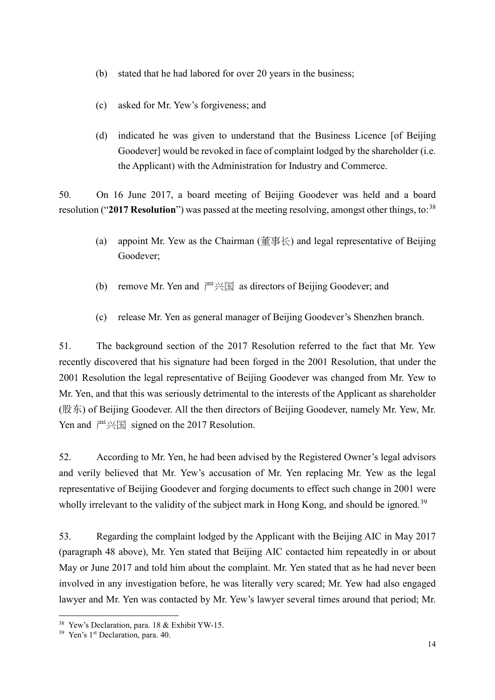- (b) stated that he had labored for over 20 years in the business;
- (c) asked for Mr. Yew's forgiveness; and
- (d) indicated he was given to understand that the Business Licence [of Beijing Goodever] would be revoked in face of complaint lodged by the shareholder (i.e. the Applicant) with the Administration for Industry and Commerce.

50. On 16 June 2017, a board meeting of Beijing Goodever was held and a board resolution ("2017 Resolution") was passed at the meeting resolving, amongst other things, to:<sup>[38](#page-13-0)</sup>

- (a) appoint Mr. Yew as the Chairman (董事长) and legal representative of Beijing Goodever;
- (b) remove Mr. Yen and  $\mathbb{P} \times \mathbb{E}$  as directors of Beijing Goodever; and
- (c) release Mr. Yen as general manager of Beijing Goodever's Shenzhen branch.

51. The background section of the 2017 Resolution referred to the fact that Mr. Yew recently discovered that his signature had been forged in the 2001 Resolution, that under the 2001 Resolution the legal representative of Beijing Goodever was changed from Mr. Yew to Mr. Yen, and that this was seriously detrimental to the interests of the Applicant as shareholder (股东) of Beijing Goodever. All the then directors of Beijing Goodever, namely Mr. Yew, Mr. Yen and  $\mathbb{F} \times \mathbb{E}$  signed on the 2017 Resolution.

52. According to Mr. Yen, he had been advised by the Registered Owner's legal advisors and verily believed that Mr. Yew's accusation of Mr. Yen replacing Mr. Yew as the legal representative of Beijing Goodever and forging documents to effect such change in 2001 were wholly irrelevant to the validity of the subject mark in Hong Kong, and should be ignored.<sup>[39](#page-13-1)</sup>

53. Regarding the complaint lodged by the Applicant with the Beijing AIC in May 2017 (paragraph 48 above), Mr. Yen stated that Beijing AIC contacted him repeatedly in or about May or June 2017 and told him about the complaint. Mr. Yen stated that as he had never been involved in any investigation before, he was literally very scared; Mr. Yew had also engaged lawyer and Mr. Yen was contacted by Mr. Yew's lawyer several times around that period; Mr.

<span id="page-13-0"></span> <sup>38</sup> Yew's Declaration, para. 18 & Exhibit YW-15.

<span id="page-13-1"></span><sup>&</sup>lt;sup>39</sup> Yen's 1<sup>st</sup> Declaration, para. 40.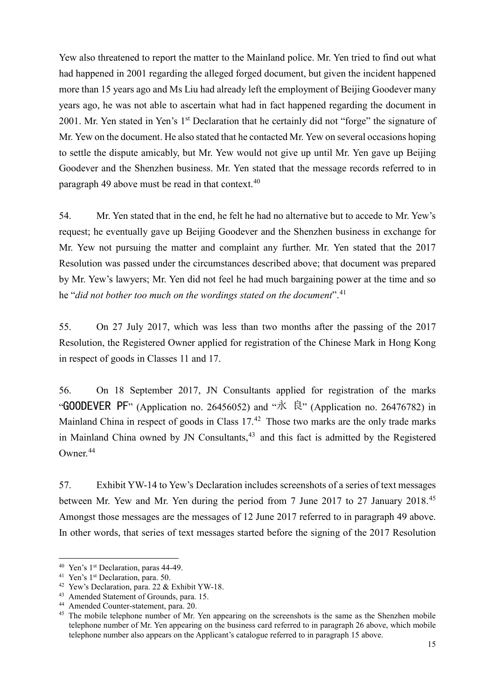Yew also threatened to report the matter to the Mainland police. Mr. Yen tried to find out what had happened in 2001 regarding the alleged forged document, but given the incident happened more than 15 years ago and Ms Liu had already left the employment of Beijing Goodever many years ago, he was not able to ascertain what had in fact happened regarding the document in 2001. Mr. Yen stated in Yen's 1<sup>st</sup> Declaration that he certainly did not "forge" the signature of Mr. Yew on the document. He also stated that he contacted Mr. Yew on several occasions hoping to settle the dispute amicably, but Mr. Yew would not give up until Mr. Yen gave up Beijing Goodever and the Shenzhen business. Mr. Yen stated that the message records referred to in paragraph 49 above must be read in that context.<sup>[40](#page-14-0)</sup>

54. Mr. Yen stated that in the end, he felt he had no alternative but to accede to Mr. Yew's request; he eventually gave up Beijing Goodever and the Shenzhen business in exchange for Mr. Yew not pursuing the matter and complaint any further. Mr. Yen stated that the 2017 Resolution was passed under the circumstances described above; that document was prepared by Mr. Yew's lawyers; Mr. Yen did not feel he had much bargaining power at the time and so he "*did not bother too much on the wordings stated on the document*". [41](#page-14-1)

55. On 27 July 2017, which was less than two months after the passing of the 2017 Resolution, the Registered Owner applied for registration of the Chinese Mark in Hong Kong in respect of goods in Classes 11 and 17.

56. On 18 September 2017, JN Consultants applied for registration of the marks " GOODEVER PF" (Application no. 26456052) and " $\mathbb{\dot{R}}$ " (Application no. 26476782) in Mainland China in respect of goods in Class 17.<sup>[42](#page-14-2)</sup> Those two marks are the only trade marks in Mainland China owned by JN Consultants,  $43$  and this fact is admitted by the Registered Owner.[44](#page-14-4)

57. Exhibit YW-14 to Yew's Declaration includes screenshots of a series of text messages between Mr. Yew and Mr. Yen during the period from 7 June 2017 to 27 January 2018.[45](#page-14-5) Amongst those messages are the messages of 12 June 2017 referred to in paragraph 49 above. In other words, that series of text messages started before the signing of the 2017 Resolution

<span id="page-14-2"></span>

<span id="page-14-1"></span><span id="page-14-0"></span><sup>&</sup>lt;sup>40</sup> Yen's 1<sup>st</sup> Declaration, paras 44-49.<br><sup>41</sup> Yen's 1<sup>st</sup> Declaration, para. 50.<br><sup>42</sup> Yew's Declaration, para. 22 & Exhibit YW-18.<br><sup>43</sup> Amended Statement of Grounds, para. 15.<br><sup>44</sup> Amended Counter-statement, para. 20.

<span id="page-14-3"></span>

<span id="page-14-5"></span><span id="page-14-4"></span> $45$  The mobile telephone number of Mr. Yen appearing on the screenshots is the same as the Shenzhen mobile telephone number of Mr. Yen appearing on the business card referred to in paragraph 26 above, which mobile telephone number also appears on the Applicant's catalogue referred to in paragraph 15 above.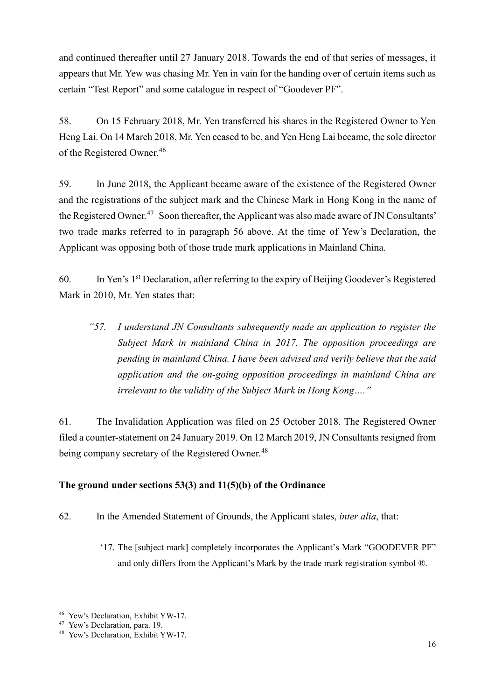and continued thereafter until 27 January 2018. Towards the end of that series of messages, it appears that Mr. Yew was chasing Mr. Yen in vain for the handing over of certain items such as certain "Test Report" and some catalogue in respect of "Goodever PF".

58. On 15 February 2018, Mr. Yen transferred his shares in the Registered Owner to Yen Heng Lai. On 14 March 2018, Mr. Yen ceased to be, and Yen Heng Lai became, the sole director of the Registered Owner.<sup>[46](#page-15-0)</sup>

59. In June 2018, the Applicant became aware of the existence of the Registered Owner and the registrations of the subject mark and the Chinese Mark in Hong Kong in the name of the Registered Owner.<sup>[47](#page-15-1)</sup> Soon thereafter, the Applicant was also made aware of JN Consultants' two trade marks referred to in paragraph 56 above. At the time of Yew's Declaration, the Applicant was opposing both of those trade mark applications in Mainland China.

60. In Yen's 1st Declaration, after referring to the expiry of Beijing Goodever's Registered Mark in 2010, Mr. Yen states that:

*"57. I understand JN Consultants subsequently made an application to register the Subject Mark in mainland China in 2017. The opposition proceedings are pending in mainland China. I have been advised and verily believe that the said application and the on-going opposition proceedings in mainland China are irrelevant to the validity of the Subject Mark in Hong Kong…."*

61. The Invalidation Application was filed on 25 October 2018. The Registered Owner filed a counter-statement on 24 January 2019. On 12 March 2019, JN Consultants resigned from being company secretary of the Registered Owner.<sup>[48](#page-15-2)</sup>

## **The ground under sections 53(3) and 11(5)(b) of the Ordinance**

- 62. In the Amended Statement of Grounds, the Applicant states, *inter alia*, that:
	- '17. The [subject mark] completely incorporates the Applicant's Mark "GOODEVER PF" and only differs from the Applicant's Mark by the trade mark registration symbol ®.

<span id="page-15-1"></span><span id="page-15-0"></span><sup>&</sup>lt;sup>46</sup> Yew's Declaration, Exhibit YW-17.<br><sup>47</sup> Yew's Declaration, para. 19.<br><sup>48</sup> Yew's Declaration, Exhibit YW-17.

<span id="page-15-2"></span>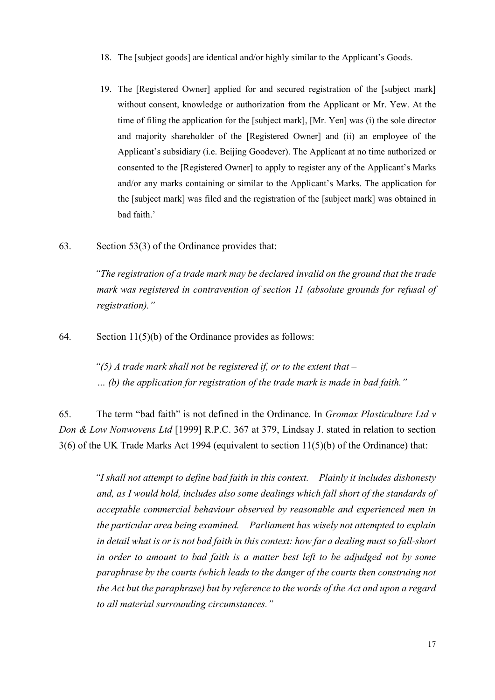- 18. The [subject goods] are identical and/or highly similar to the Applicant's Goods.
- 19. The [Registered Owner] applied for and secured registration of the [subject mark] without consent, knowledge or authorization from the Applicant or Mr. Yew. At the time of filing the application for the [subject mark], [Mr. Yen] was (i) the sole director and majority shareholder of the [Registered Owner] and (ii) an employee of the Applicant's subsidiary (i.e. Beijing Goodever). The Applicant at no time authorized or consented to the [Registered Owner] to apply to register any of the Applicant's Marks and/or any marks containing or similar to the Applicant's Marks. The application for the [subject mark] was filed and the registration of the [subject mark] was obtained in bad faith.'
- 63. Section 53(3) of the Ordinance provides that:

*"The registration of a trade mark may be declared invalid on the ground that the trade mark was registered in contravention of section 11 (absolute grounds for refusal of registration)."*

64. Section 11(5)(b) of the Ordinance provides as follows:

*"(5) A trade mark shall not be registered if, or to the extent that – … (b) the application for registration of the trade mark is made in bad faith."*

65. The term "bad faith" is not defined in the Ordinance. In *Gromax Plasticulture Ltd v Don & Low Nonwovens Ltd* [1999] R.P.C. 367 at 379, Lindsay J. stated in relation to section 3(6) of the UK Trade Marks Act 1994 (equivalent to section 11(5)(b) of the Ordinance) that:

*"I shall not attempt to define bad faith in this context. Plainly it includes dishonesty and, as I would hold, includes also some dealings which fall short of the standards of acceptable commercial behaviour observed by reasonable and experienced men in the particular area being examined. Parliament has wisely not attempted to explain in detail what is or is not bad faith in this context: how far a dealing must so fall-short in order to amount to bad faith is a matter best left to be adjudged not by some paraphrase by the courts (which leads to the danger of the courts then construing not the Act but the paraphrase) but by reference to the words of the Act and upon a regard to all material surrounding circumstances."*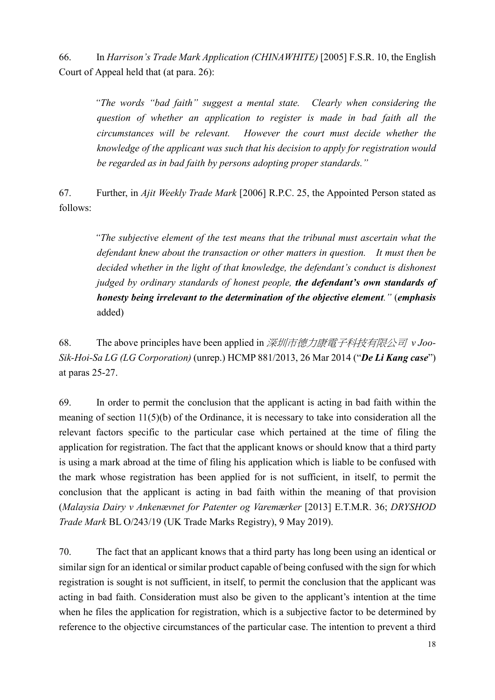66. In *Harrison's Trade Mark Application (CHINAWHITE)* [2005] F.S.R. 10, the English Court of Appeal held that (at para. 26):

*"The words "bad faith" suggest a mental state. Clearly when considering the question of whether an application to register is made in bad faith all the circumstances will be relevant. However the court must decide whether the knowledge of the applicant was such that his decision to apply for registration would be regarded as in bad faith by persons adopting proper standards."*

67. Further, in *Ajit Weekly Trade Mark* [2006] R.P.C. 25, the Appointed Person stated as follows:

*"The subjective element of the test means that the tribunal must ascertain what the defendant knew about the transaction or other matters in question. It must then be decided whether in the light of that knowledge, the defendant's conduct is dishonest judged by ordinary standards of honest people, the defendant's own standards of honesty being irrelevant to the determination of the objective element."* (*emphasis* added)

68. The above principles have been applied in 深圳市德力康電子科技有限公司 *v Joo-Sik-Hoi-Sa LG (LG Corporation)* (unrep.) HCMP 881/2013, 26 Mar 2014 ("*De Li Kang case*") at paras 25-27.

69. In order to permit the conclusion that the applicant is acting in bad faith within the meaning of section 11(5)(b) of the Ordinance, it is necessary to take into consideration all the relevant factors specific to the particular case which pertained at the time of filing the application for registration. The fact that the applicant knows or should know that a third party is using a mark abroad at the time of filing his application which is liable to be confused with the mark whose registration has been applied for is not sufficient, in itself, to permit the conclusion that the applicant is acting in bad faith within the meaning of that provision (*Malaysia Dairy v Ankenævnet for Patenter og Varemærker* [2013] E.T.M.R. 36; *DRYSHOD Trade Mark* BL O/243/19 (UK Trade Marks Registry), 9 May 2019).

70. The fact that an applicant knows that a third party has long been using an identical or similar sign for an identical or similar product capable of being confused with the sign for which registration is sought is not sufficient, in itself, to permit the conclusion that the applicant was acting in bad faith. Consideration must also be given to the applicant's intention at the time when he files the application for registration, which is a subjective factor to be determined by reference to the objective circumstances of the particular case. The intention to prevent a third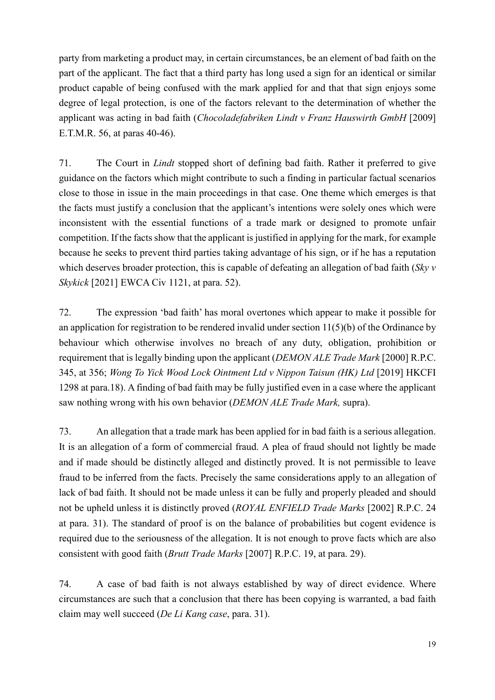party from marketing a product may, in certain circumstances, be an element of bad faith on the part of the applicant. The fact that a third party has long used a sign for an identical or similar product capable of being confused with the mark applied for and that that sign enjoys some degree of legal protection, is one of the factors relevant to the determination of whether the applicant was acting in bad faith (*Chocoladefabriken Lindt v Franz Hauswirth GmbH* [2009] E.T.M.R. 56, at paras 40-46).

71. The Court in *Lindt* stopped short of defining bad faith. Rather it preferred to give guidance on the factors which might contribute to such a finding in particular factual scenarios close to those in issue in the main proceedings in that case. One theme which emerges is that the facts must justify a conclusion that the applicant's intentions were solely ones which were inconsistent with the essential functions of a trade mark or designed to promote unfair competition. If the facts show that the applicant is justified in applying for the mark, for example because he seeks to prevent third parties taking advantage of his sign, or if he has a reputation which deserves broader protection, this is capable of defeating an allegation of bad faith (*Sky v Skykick* [2021] EWCA Civ 1121, at para. 52).

72. The expression 'bad faith' has moral overtones which appear to make it possible for an application for registration to be rendered invalid under section 11(5)(b) of the Ordinance by behaviour which otherwise involves no breach of any duty, obligation, prohibition or requirement that is legally binding upon the applicant (*DEMON ALE Trade Mark* [2000] R.P.C. 345, at 356; *Wong To Yick Wood Lock Ointment Ltd v Nippon Taisun (HK) Ltd* [2019] HKCFI 1298 at para.18). A finding of bad faith may be fully justified even in a case where the applicant saw nothing wrong with his own behavior (*DEMON ALE Trade Mark,* supra).

73. An allegation that a trade mark has been applied for in bad faith is a serious allegation. It is an allegation of a form of commercial fraud. A plea of fraud should not lightly be made and if made should be distinctly alleged and distinctly proved. It is not permissible to leave fraud to be inferred from the facts. Precisely the same considerations apply to an allegation of lack of bad faith. It should not be made unless it can be fully and properly pleaded and should not be upheld unless it is distinctly proved (*ROYAL ENFIELD Trade Marks* [2002] R.P.C. 24 at para. 31). The standard of proof is on the balance of probabilities but cogent evidence is required due to the seriousness of the allegation. It is not enough to prove facts which are also consistent with good faith (*Brutt Trade Marks* [2007] R.P.C. 19, at para. 29).

74. A case of bad faith is not always established by way of direct evidence. Where circumstances are such that a conclusion that there has been copying is warranted, a bad faith claim may well succeed (*De Li Kang case*, para. 31).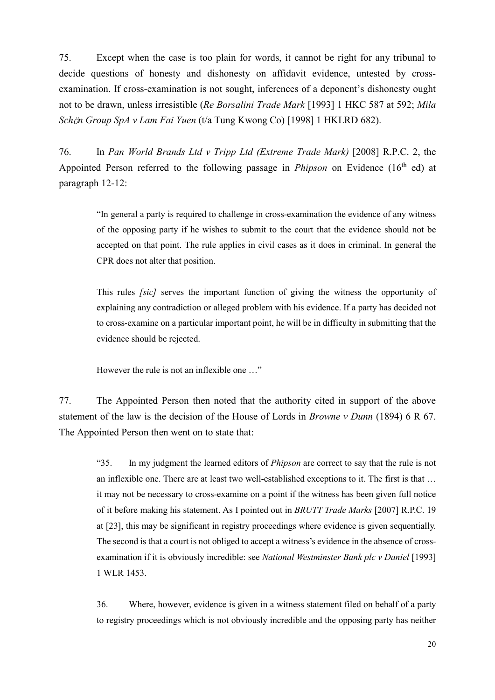75. Except when the case is too plain for words, it cannot be right for any tribunal to decide questions of honesty and dishonesty on affidavit evidence, untested by crossexamination. If cross-examination is not sought, inferences of a deponent's dishonesty ought not to be drawn, unless irresistible (*Re Borsalini Trade Mark* [1993] 1 HKC 587 at 592; *Mila Sch*ö*n Group SpA v Lam Fai Yuen* (t/a Tung Kwong Co) [1998] 1 HKLRD 682).

76. In *Pan World Brands Ltd v Tripp Ltd (Extreme Trade Mark)* [2008] R.P.C. 2, the Appointed Person referred to the following passage in *Phipson* on Evidence (16<sup>th</sup> ed) at paragraph 12-12:

"In general a party is required to challenge in cross-examination the evidence of any witness of the opposing party if he wishes to submit to the court that the evidence should not be accepted on that point. The rule applies in civil cases as it does in criminal. In general the CPR does not alter that position.

This rules *[sic]* serves the important function of giving the witness the opportunity of explaining any contradiction or alleged problem with his evidence. If a party has decided not to cross-examine on a particular important point, he will be in difficulty in submitting that the evidence should be rejected.

However the rule is not an inflexible one …"

77. The Appointed Person then noted that the authority cited in support of the above statement of the law is the decision of the House of Lords in *Browne v Dunn* (1894) 6 R 67. The Appointed Person then went on to state that:

"35. In my judgment the learned editors of *Phipson* are correct to say that the rule is not an inflexible one. There are at least two well-established exceptions to it. The first is that … it may not be necessary to cross-examine on a point if the witness has been given full notice of it before making his statement. As I pointed out in *BRUTT Trade Marks* [2007] R.P.C. 19 at [23], this may be significant in registry proceedings where evidence is given sequentially. The second is that a court is not obliged to accept a witness's evidence in the absence of crossexamination if it is obviously incredible: see *National Westminster Bank plc v Daniel* [1993] 1 WLR 1453.

36. Where, however, evidence is given in a witness statement filed on behalf of a party to registry proceedings which is not obviously incredible and the opposing party has neither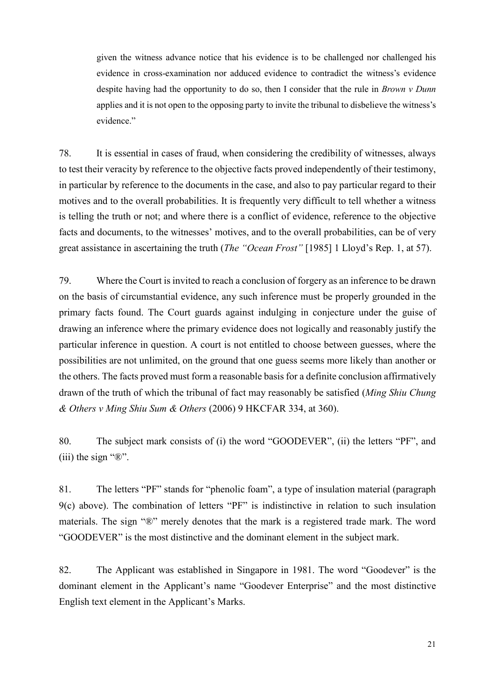given the witness advance notice that his evidence is to be challenged nor challenged his evidence in cross-examination nor adduced evidence to contradict the witness's evidence despite having had the opportunity to do so, then I consider that the rule in *Brown v Dunn* applies and it is not open to the opposing party to invite the tribunal to disbelieve the witness's evidence."

78. It is essential in cases of fraud, when considering the credibility of witnesses, always to test their veracity by reference to the objective facts proved independently of their testimony, in particular by reference to the documents in the case, and also to pay particular regard to their motives and to the overall probabilities. It is frequently very difficult to tell whether a witness is telling the truth or not; and where there is a conflict of evidence, reference to the objective facts and documents, to the witnesses' motives, and to the overall probabilities, can be of very great assistance in ascertaining the truth (*The "Ocean Frost"* [1985] 1 Lloyd's Rep. 1, at 57).

79. Where the Court is invited to reach a conclusion of forgery as an inference to be drawn on the basis of circumstantial evidence, any such inference must be properly grounded in the primary facts found. The Court guards against indulging in conjecture under the guise of drawing an inference where the primary evidence does not logically and reasonably justify the particular inference in question. A court is not entitled to choose between guesses, where the possibilities are not unlimited, on the ground that one guess seems more likely than another or the others. The facts proved must form a reasonable basis for a definite conclusion affirmatively drawn of the truth of which the tribunal of fact may reasonably be satisfied (*Ming Shiu Chung & Others v Ming Shiu Sum & Others* (2006) 9 HKCFAR 334, at 360).

80. The subject mark consists of (i) the word "GOODEVER", (ii) the letters "PF", and (iii) the sign " $\mathbb{R}$ ".

81. The letters "PF" stands for "phenolic foam", a type of insulation material (paragraph 9(c) above). The combination of letters "PF" is indistinctive in relation to such insulation materials. The sign "®" merely denotes that the mark is a registered trade mark. The word "GOODEVER" is the most distinctive and the dominant element in the subject mark.

82. The Applicant was established in Singapore in 1981. The word "Goodever" is the dominant element in the Applicant's name "Goodever Enterprise" and the most distinctive English text element in the Applicant's Marks.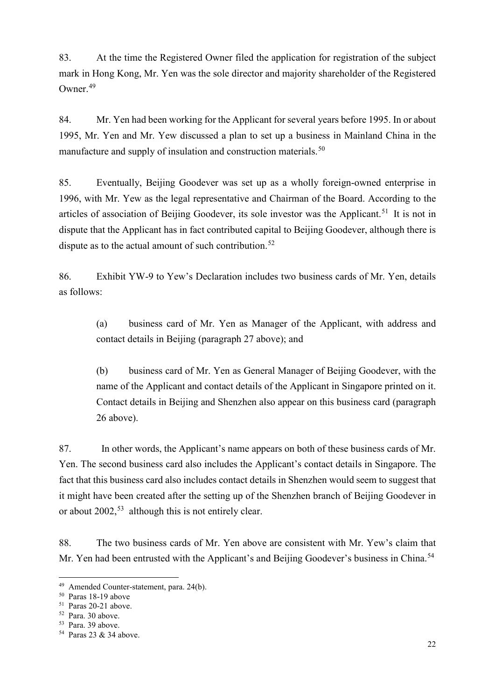83. At the time the Registered Owner filed the application for registration of the subject mark in Hong Kong, Mr. Yen was the sole director and majority shareholder of the Registered Owner.[49](#page-21-0)

84. Mr. Yen had been working for the Applicant for several years before 1995. In or about 1995, Mr. Yen and Mr. Yew discussed a plan to set up a business in Mainland China in the manufacture and supply of insulation and construction materials.<sup>[50](#page-21-1)</sup>

85. Eventually, Beijing Goodever was set up as a wholly foreign-owned enterprise in 1996, with Mr. Yew as the legal representative and Chairman of the Board. According to the articles of association of Beijing Goodever, its sole investor was the Applicant.<sup>[51](#page-21-2)</sup> It is not in dispute that the Applicant has in fact contributed capital to Beijing Goodever, although there is dispute as to the actual amount of such contribution.<sup>[52](#page-21-3)</sup>

86. Exhibit YW-9 to Yew's Declaration includes two business cards of Mr. Yen, details as follows:

(a) business card of Mr. Yen as Manager of the Applicant, with address and contact details in Beijing (paragraph 27 above); and

(b) business card of Mr. Yen as General Manager of Beijing Goodever, with the name of the Applicant and contact details of the Applicant in Singapore printed on it. Contact details in Beijing and Shenzhen also appear on this business card (paragraph 26 above).

87. In other words, the Applicant's name appears on both of these business cards of Mr. Yen. The second business card also includes the Applicant's contact details in Singapore. The fact that this business card also includes contact details in Shenzhen would seem to suggest that it might have been created after the setting up of the Shenzhen branch of Beijing Goodever in or about  $2002$ ,<sup>[53](#page-21-4)</sup> although this is not entirely clear.

88. The two business cards of Mr. Yen above are consistent with Mr. Yew's claim that Mr. Yen had been entrusted with the Applicant's and Beijing Goodever's business in China.<sup>[54](#page-21-5)</sup>

<span id="page-21-0"></span> <sup>49</sup> Amended Counter-statement, para. 24(b).

<span id="page-21-1"></span><sup>50</sup> Paras 18-19 above

<span id="page-21-2"></span><sup>51</sup> Paras 20-21 above.

<span id="page-21-3"></span><sup>52</sup> Para. 30 above.

<span id="page-21-4"></span><sup>53</sup> Para. 39 above.

<span id="page-21-5"></span><sup>54</sup> Paras 23 & 34 above.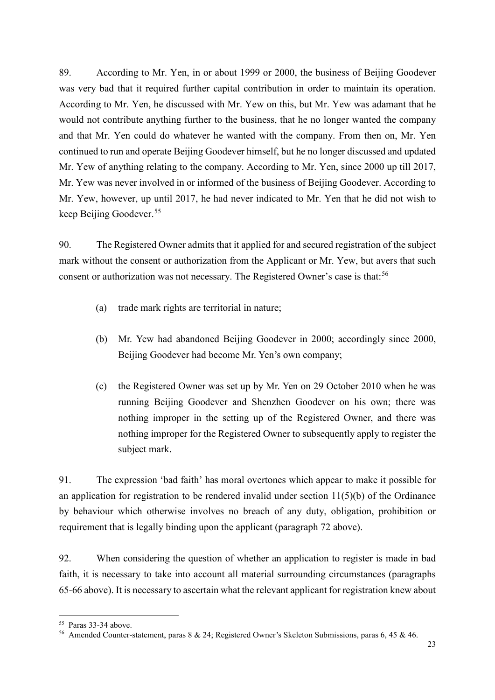89. According to Mr. Yen, in or about 1999 or 2000, the business of Beijing Goodever was very bad that it required further capital contribution in order to maintain its operation. According to Mr. Yen, he discussed with Mr. Yew on this, but Mr. Yew was adamant that he would not contribute anything further to the business, that he no longer wanted the company and that Mr. Yen could do whatever he wanted with the company. From then on, Mr. Yen continued to run and operate Beijing Goodever himself, but he no longer discussed and updated Mr. Yew of anything relating to the company. According to Mr. Yen, since 2000 up till 2017, Mr. Yew was never involved in or informed of the business of Beijing Goodever. According to Mr. Yew, however, up until 2017, he had never indicated to Mr. Yen that he did not wish to keep Beijing Goodever. [55](#page-22-0)

90. The Registered Owner admits that it applied for and secured registration of the subject mark without the consent or authorization from the Applicant or Mr. Yew, but avers that such consent or authorization was not necessary. The Registered Owner's case is that:<sup>[56](#page-22-1)</sup>

- (a) trade mark rights are territorial in nature;
- (b) Mr. Yew had abandoned Beijing Goodever in 2000; accordingly since 2000, Beijing Goodever had become Mr. Yen's own company;
- (c) the Registered Owner was set up by Mr. Yen on 29 October 2010 when he was running Beijing Goodever and Shenzhen Goodever on his own; there was nothing improper in the setting up of the Registered Owner, and there was nothing improper for the Registered Owner to subsequently apply to register the subject mark.

91. The expression 'bad faith' has moral overtones which appear to make it possible for an application for registration to be rendered invalid under section  $11(5)(b)$  of the Ordinance by behaviour which otherwise involves no breach of any duty, obligation, prohibition or requirement that is legally binding upon the applicant (paragraph 72 above).

92. When considering the question of whether an application to register is made in bad faith, it is necessary to take into account all material surrounding circumstances (paragraphs 65-66 above). It is necessary to ascertain what the relevant applicant for registration knew about

<span id="page-22-0"></span> <sup>55</sup> Paras 33-34 above.

<span id="page-22-1"></span><sup>56</sup> Amended Counter-statement, paras 8 & 24; Registered Owner's Skeleton Submissions, paras 6, 45 & 46.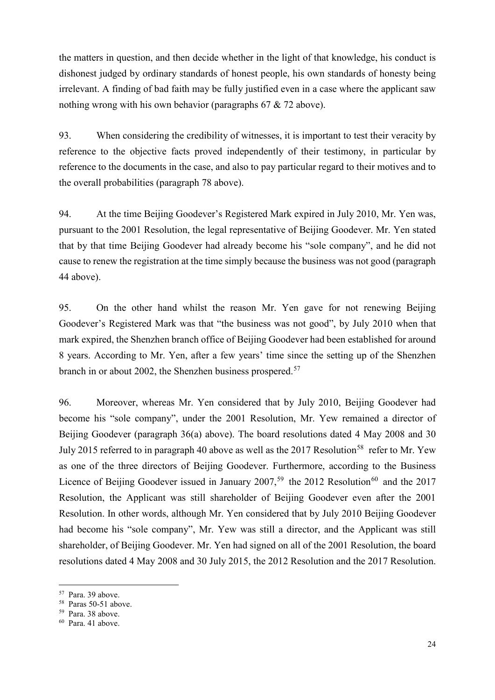the matters in question, and then decide whether in the light of that knowledge, his conduct is dishonest judged by ordinary standards of honest people, his own standards of honesty being irrelevant. A finding of bad faith may be fully justified even in a case where the applicant saw nothing wrong with his own behavior (paragraphs 67 & 72 above).

93. When considering the credibility of witnesses, it is important to test their veracity by reference to the objective facts proved independently of their testimony, in particular by reference to the documents in the case, and also to pay particular regard to their motives and to the overall probabilities (paragraph 78 above).

94. At the time Beijing Goodever's Registered Mark expired in July 2010, Mr. Yen was, pursuant to the 2001 Resolution, the legal representative of Beijing Goodever. Mr. Yen stated that by that time Beijing Goodever had already become his "sole company", and he did not cause to renew the registration at the time simply because the business was not good (paragraph 44 above).

95. On the other hand whilst the reason Mr. Yen gave for not renewing Beijing Goodever's Registered Mark was that "the business was not good", by July 2010 when that mark expired, the Shenzhen branch office of Beijing Goodever had been established for around 8 years. According to Mr. Yen, after a few years' time since the setting up of the Shenzhen branch in or about 2002, the Shenzhen business prospered.<sup>[57](#page-23-0)</sup>

96. Moreover, whereas Mr. Yen considered that by July 2010, Beijing Goodever had become his "sole company", under the 2001 Resolution, Mr. Yew remained a director of Beijing Goodever (paragraph 36(a) above). The board resolutions dated 4 May 2008 and 30 July 2015 referred to in paragraph 40 above as well as the 2017 Resolution<sup>[58](#page-23-1)</sup> refer to Mr. Yew as one of the three directors of Beijing Goodever. Furthermore, according to the Business Licence of Beijing Goodever issued in January 2007,<sup>[59](#page-23-2)</sup> the 2012 Resolution<sup>[60](#page-23-3)</sup> and the 2017 Resolution, the Applicant was still shareholder of Beijing Goodever even after the 2001 Resolution. In other words, although Mr. Yen considered that by July 2010 Beijing Goodever had become his "sole company", Mr. Yew was still a director, and the Applicant was still shareholder, of Beijing Goodever. Mr. Yen had signed on all of the 2001 Resolution, the board resolutions dated 4 May 2008 and 30 July 2015, the 2012 Resolution and the 2017 Resolution.

<span id="page-23-0"></span> <sup>57</sup> Para. 39 above.

<span id="page-23-1"></span><sup>58</sup> Paras 50-51 above.

<span id="page-23-2"></span><sup>59</sup> Para. 38 above.

<span id="page-23-3"></span><sup>60</sup> Para. 41 above.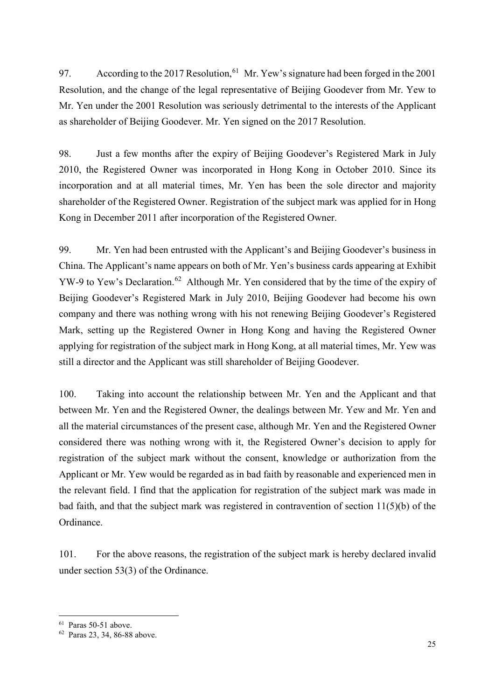97. According to the 2017 Resolution, <sup>[61](#page-24-0)</sup> Mr. Yew's signature had been forged in the 2001 Resolution, and the change of the legal representative of Beijing Goodever from Mr. Yew to Mr. Yen under the 2001 Resolution was seriously detrimental to the interests of the Applicant as shareholder of Beijing Goodever. Mr. Yen signed on the 2017 Resolution.

98. Just a few months after the expiry of Beijing Goodever's Registered Mark in July 2010, the Registered Owner was incorporated in Hong Kong in October 2010. Since its incorporation and at all material times, Mr. Yen has been the sole director and majority shareholder of the Registered Owner. Registration of the subject mark was applied for in Hong Kong in December 2011 after incorporation of the Registered Owner.

99. Mr. Yen had been entrusted with the Applicant's and Beijing Goodever's business in China. The Applicant's name appears on both of Mr. Yen's business cards appearing at Exhibit YW-9 to Yew's Declaration.<sup>[62](#page-24-1)</sup> Although Mr. Yen considered that by the time of the expiry of Beijing Goodever's Registered Mark in July 2010, Beijing Goodever had become his own company and there was nothing wrong with his not renewing Beijing Goodever's Registered Mark, setting up the Registered Owner in Hong Kong and having the Registered Owner applying for registration of the subject mark in Hong Kong, at all material times, Mr. Yew was still a director and the Applicant was still shareholder of Beijing Goodever.

100. Taking into account the relationship between Mr. Yen and the Applicant and that between Mr. Yen and the Registered Owner, the dealings between Mr. Yew and Mr. Yen and all the material circumstances of the present case, although Mr. Yen and the Registered Owner considered there was nothing wrong with it, the Registered Owner's decision to apply for registration of the subject mark without the consent, knowledge or authorization from the Applicant or Mr. Yew would be regarded as in bad faith by reasonable and experienced men in the relevant field. I find that the application for registration of the subject mark was made in bad faith, and that the subject mark was registered in contravention of section 11(5)(b) of the Ordinance.

101. For the above reasons, the registration of the subject mark is hereby declared invalid under section 53(3) of the Ordinance.

<span id="page-24-0"></span> <sup>61</sup> Paras 50-51 above.

<span id="page-24-1"></span><sup>62</sup> Paras 23, 34, 86-88 above.